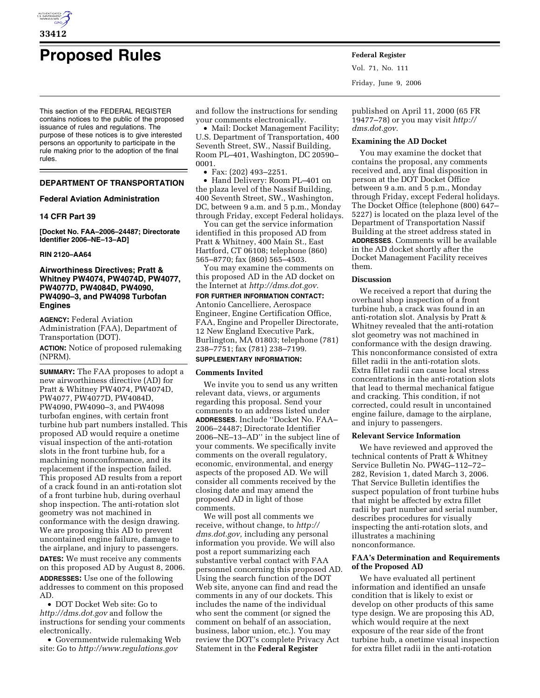

# **Proposed Rules Federal Register**

This section of the FEDERAL REGISTER contains notices to the public of the proposed issuance of rules and regulations. The purpose of these notices is to give interested persons an opportunity to participate in the rule making prior to the adoption of the final rules.

## **DEPARTMENT OF TRANSPORTATION**

## **Federal Aviation Administration**

## **14 CFR Part 39**

**[Docket No. FAA–2006–24487; Directorate Identifier 2006–NE–13–AD]** 

## **RIN 2120–AA64**

## **Airworthiness Directives; Pratt & Whitney PW4074, PW4074D, PW4077, PW4077D, PW4084D, PW4090, PW4090–3, and PW4098 Turbofan Engines**

**AGENCY:** Federal Aviation Administration (FAA), Department of Transportation (DOT).

**ACTION:** Notice of proposed rulemaking (NPRM).

**SUMMARY:** The FAA proposes to adopt a new airworthiness directive (AD) for Pratt & Whitney PW4074, PW4074D, PW4077, PW4077D, PW4084D, PW4090, PW4090–3, and PW4098 turbofan engines, with certain front turbine hub part numbers installed. This proposed AD would require a onetime visual inspection of the anti-rotation slots in the front turbine hub, for a machining nonconformance, and its replacement if the inspection failed. This proposed AD results from a report of a crack found in an anti-rotation slot of a front turbine hub, during overhaul shop inspection. The anti-rotation slot geometry was not machined in conformance with the design drawing. We are proposing this AD to prevent uncontained engine failure, damage to the airplane, and injury to passengers. **DATES:** We must receive any comments

on this proposed AD by August 8, 2006. **ADDRESSES:** Use one of the following addresses to comment on this proposed AD.

• DOT Docket Web site: Go to *http://dms.dot.gov* and follow the instructions for sending your comments electronically.

• Governmentwide rulemaking Web site: Go to *http://www.regulations.gov* 

and follow the instructions for sending your comments electronically.

• Mail: Docket Management Facility; U.S. Department of Transportation, 400 Seventh Street, SW., Nassif Building, Room PL–401, Washington, DC 20590– 0001.

• Fax: (202) 493–2251.

• Hand Delivery: Room PL–401 on the plaza level of the Nassif Building, 400 Seventh Street, SW., Washington, DC, between 9 a.m. and 5 p.m., Monday through Friday, except Federal holidays.

You can get the service information identified in this proposed AD from Pratt & Whitney, 400 Main St., East Hartford, CT 06108; telephone (860) 565–8770; fax (860) 565–4503.

You may examine the comments on this proposed AD in the AD docket on the Internet at *http://dms.dot.gov.* 

**FOR FURTHER INFORMATION CONTACT:**  Antonio Cancelliere, Aerospace Engineer, Engine Certification Office, FAA, Engine and Propeller Directorate, 12 New England Executive Park, Burlington, MA 01803; telephone (781) 238–7751; fax (781) 238–7199.

# **SUPPLEMENTARY INFORMATION:**

#### **Comments Invited**

We invite you to send us any written relevant data, views, or arguments regarding this proposal. Send your comments to an address listed under **ADDRESSES**. Include ''Docket No. FAA– 2006–24487; Directorate Identifier 2006–NE–13–AD'' in the subject line of your comments. We specifically invite comments on the overall regulatory, economic, environmental, and energy aspects of the proposed AD. We will consider all comments received by the closing date and may amend the proposed AD in light of those comments.

We will post all comments we receive, without change, to *http:// dms.dot.gov,* including any personal information you provide. We will also post a report summarizing each substantive verbal contact with FAA personnel concerning this proposed AD. Using the search function of the DOT Web site, anyone can find and read the comments in any of our dockets. This includes the name of the individual who sent the comment (or signed the comment on behalf of an association, business, labor union, etc.). You may review the DOT's complete Privacy Act Statement in the **Federal Register** 

Vol. 71, No. 111 Friday, June 9, 2006

published on April 11, 2000 (65 FR 19477–78) or you may visit *http:// dms.dot.gov.* 

## **Examining the AD Docket**

You may examine the docket that contains the proposal, any comments received and, any final disposition in person at the DOT Docket Office between 9 a.m. and 5 p.m., Monday through Friday, except Federal holidays. The Docket Office (telephone (800) 647– 5227) is located on the plaza level of the Department of Transportation Nassif Building at the street address stated in **ADDRESSES**. Comments will be available in the AD docket shortly after the Docket Management Facility receives them.

## **Discussion**

We received a report that during the overhaul shop inspection of a front turbine hub, a crack was found in an anti-rotation slot. Analysis by Pratt & Whitney revealed that the anti-rotation slot geometry was not machined in conformance with the design drawing. This nonconformance consisted of extra fillet radii in the anti-rotation slots. Extra fillet radii can cause local stress concentrations in the anti-rotation slots that lead to thermal mechanical fatigue and cracking. This condition, if not corrected, could result in uncontained engine failure, damage to the airplane, and injury to passengers.

#### **Relevant Service Information**

We have reviewed and approved the technical contents of Pratt & Whitney Service Bulletin No. PW4G–112–72– 282, Revision 1, dated March 3, 2006. That Service Bulletin identifies the suspect population of front turbine hubs that might be affected by extra fillet radii by part number and serial number, describes procedures for visually inspecting the anti-rotation slots, and illustrates a machining nonconformance.

## **FAA's Determination and Requirements of the Proposed AD**

We have evaluated all pertinent information and identified an unsafe condition that is likely to exist or develop on other products of this same type design. We are proposing this AD, which would require at the next exposure of the rear side of the front turbine hub, a onetime visual inspection for extra fillet radii in the anti-rotation